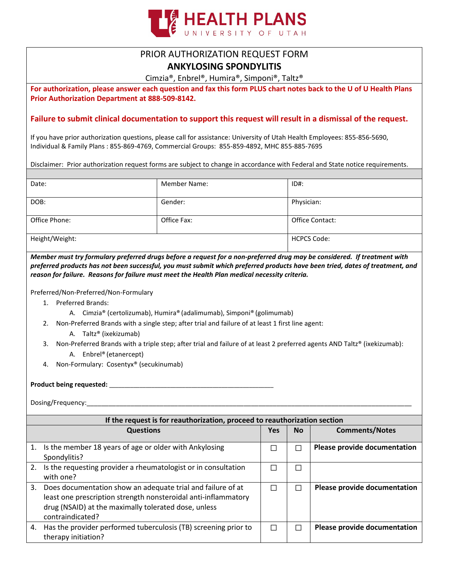

## PRIOR AUTHORIZATION REQUEST FORM

**ANKYLOSING SPONDYLITIS**

Cimzia®, Enbrel®, Humira®, Simponi®, Taltz®

**For authorization, please answer each question and fax this form PLUS chart notes back to the U of U Health Plans Prior Authorization Department at 888-509-8142.** 

## **Failure to submit clinical documentation to support this request will result in a dismissal of the request.**

If you have prior authorization questions, please call for assistance: University of Utah Health Employees: 855-856-5690, Individual & Family Plans : 855-869-4769, Commercial Groups: 855-859-4892, MHC 855-885-7695

Disclaimer: Prior authorization request forms are subject to change in accordance with Federal and State notice requirements.

| Date:          | <b>Member Name:</b> | ID#:            |
|----------------|---------------------|-----------------|
| DOB:           | Gender:             | Physician:      |
| Office Phone:  | Office Fax:         | Office Contact: |
| Height/Weight: | <b>HCPCS Code:</b>  |                 |

*Member must try formulary preferred drugs before a request for a non-preferred drug may be considered. If treatment with preferred products has not been successful, you must submit which preferred products have been tried, dates of treatment, and reason for failure. Reasons for failure must meet the Health Plan medical necessity criteria.*

Preferred/Non-Preferred/Non-Formulary

- 1. Preferred Brands:
	- A. Cimzia® (certolizumab), Humira® (adalimumab), Simponi® (golimumab)
- 2. Non-Preferred Brands with a single step; after trial and failure of at least 1 first line agent:
	- A. Taltz® (ixekizumab)
- 3. Non-Preferred Brands with a triple step; after trial and failure of at least 2 preferred agents AND Taltz® (ixekizumab): A. Enbrel® (etanercept)
- 4. Non-Formulary: Cosentyx® (secukinumab)

**Product being requested:** \_\_\_\_\_\_\_\_\_\_\_\_\_\_\_\_\_\_\_\_\_\_\_\_\_\_\_\_\_\_\_\_\_\_\_\_\_\_\_\_\_\_\_\_\_\_\_\_\_\_\_\_\_\_

Dosing/Frequency:

| If the request is for reauthorization, proceed to reauthorization section |                                                                                                                                                                                                           |     |               |                              |  |
|---------------------------------------------------------------------------|-----------------------------------------------------------------------------------------------------------------------------------------------------------------------------------------------------------|-----|---------------|------------------------------|--|
|                                                                           | <b>Questions</b>                                                                                                                                                                                          | Yes | No.           | <b>Comments/Notes</b>        |  |
|                                                                           | 1. Is the member 18 years of age or older with Ankylosing<br>Spondylitis?                                                                                                                                 |     |               | Please provide documentation |  |
| 2.                                                                        | Is the requesting provider a rheumatologist or in consultation<br>with one?                                                                                                                               |     | $\mathcal{L}$ |                              |  |
| 3.                                                                        | Does documentation show an adequate trial and failure of at<br>least one prescription strength nonsteroidal anti-inflammatory<br>drug (NSAID) at the maximally tolerated dose, unless<br>contraindicated? |     |               | Please provide documentation |  |
| 4.                                                                        | Has the provider performed tuberculosis (TB) screening prior to<br>therapy initiation?                                                                                                                    |     |               | Please provide documentation |  |